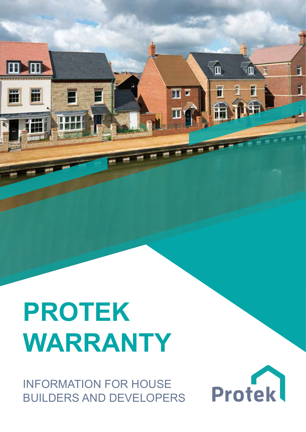# **PROTEK WARRANTY**

W

INFORMATION FOR HOUSE BUILDERS AND DEVELOPERS



F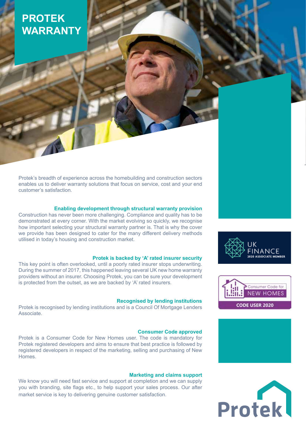## **PROTEK WARRANTY**

Protek's breadth of experience across the homebuilding and construction sectors enables us to deliver warranty solutions that focus on service, cost and your end customer's satisfaction.

#### **Enabling development through structural warranty provision**

Construction has never been more challenging. Compliance and quality has to be demonstrated at every corner. With the market evolving so quickly, we recognise how important selecting your structural warranty partner is. That is why the cover we provide has been designed to cater for the many different delivery methods utilised in today's housing and construction market.

#### **Protek is backed by 'A' rated insurer security**

This key point is often overlooked, until a poorly rated insurer stops underwriting. During the summer of 2017, this happened leaving several UK new home warranty providers without an insurer. Choosing Protek, you can be sure your development is protected from the outset, as we are backed by 'A' rated insurers.

#### **Recognised by lending institutions**

Protek is recognised by lending institutions and is a Council Of Mortgage Lenders Associate.

#### **Consumer Code approved**

Protek is a Consumer Code for New Homes user. The code is mandatory for Protek registered developers and aims to ensure that best practice is followed by registered developers in respect of the marketing, selling and purchasing of New Homes.

#### **Marketing and claims support**

We know you will need fast service and support at completion and we can supply you with branding, site flags etc., to help support your sales process. Our after market service is key to delivering genuine customer satisfaction.







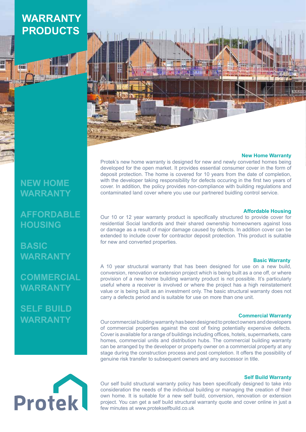## **WARRANTY PRODUCTS**

**TATE** 

## **NEW HOME WARRANTY**

**AFFORDABLE HOUSING**

**BASIC WARRANTY**

**COMMERCIAL WARRANTY**

**SELF BUILD WARRANTY**

#### **New Home Warranty**

Protek's new home warranty is designed for new and newly converted homes being developed for the open market. It provides essential consumer cover in the form of deposit protection. The home is covered for 10 years from the date of completion, with the developer taking responsibility for defects occuring in the first two years of cover. In addition, the policy provides non-compliance with building regulations and contaminated land cover where you use our partnered buidling control service.

#### **Affordable Housing**

Our 10 or 12 year warranty product is specifically structured to provide cover for residential Social landlords and their shared ownership homeowners against loss or damage as a result of major damage caused by defects. In addition cover can be extended to include cover for contractor deposit protection. This product is suitable for new and converted properties.

#### **Basic Warranty**

A 10 year structural warranty that has been designed for use on a new build, conversion, renovation or extension project which is being built as a one off, or where provision of a new home building warranty product is not possible. It's particularly useful where a receiver is involved or where the project has a high reinstatement value or is being built as an investment only. The basic structural warranty does not carry a defects period and is suitable for use on more than one unit.

#### **Commercial Warranty**

Our commercial building warranty has been designed to protect owners and developers of commercial properties against the cost of fixing potentially expensive defects. Cover is available for a range of buildings including offices, hotels, supermarkets, care homes, commercial units and distribution hubs. The commercial building warranty can be arranged by the developer or property owner on a commercial property at any stage during the construction process and post completion. It offers the possibility of genuine risk transfer to subsequent owners and any successor in title.



Our self build structural warranty policy has been specifically designed to take into consideration the needs of the individual building or managing the creation of their own home. It is suitable for a new self build, conversion, renovation or extension project. You can get a self build structural warranty quote and cover online in just a few minutes at www.protekselfbuild.co.uk

#### **Self Build Warranty**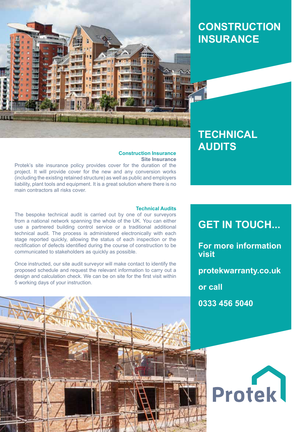

## **Construction INSURANCE**

## **TECHNICAL AUDITS**

#### **Construction Insurance Site Insurance**

Protek's site insurance policy provides cover for the duration of the project. It will provide cover for the new and any conversion works (including the existing retained structure) as well as public and employers liability, plant tools and equipment. It is a great solution where there is no main contractors all risks cover.

#### **Technical Audits**

The bespoke technical audit is carried out by one of our surveyors from a national network spanning the whole of the UK. You can either use a partnered building control service or a traditional additional technical audit. The process is administered electronically with each stage reported quickly, allowing the status of each inspection or the rectification of defects identified during the course of construction to be communicated to stakeholders as quickly as possible.

Once instructed, our site audit surveyor will make contact to identify the proposed schedule and request the relevant information to carry out a design and calculation check. We can be on site for the first visit within 5 working days of your instruction.

## **GET IN TOUCH...**

**For more information visit**

**protekwarranty.co.uk**

**or call**

**0333 456 5040**